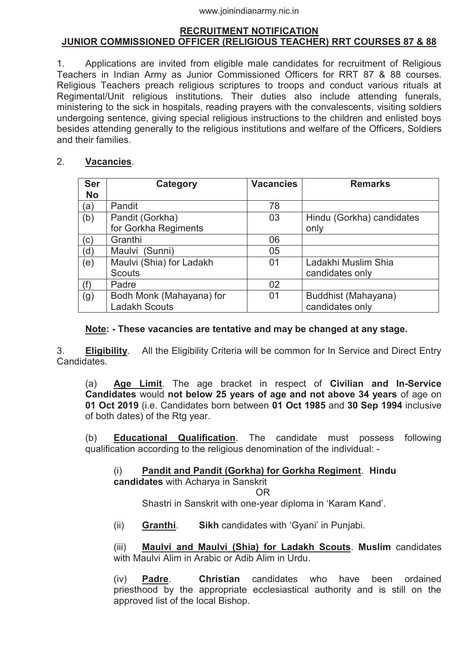### **RECRUITMENT NOTIFICATION JUNIOR COMMISSIONED OFFICER (RELIGIOUS TEACHER) RRT COURSES 87 & 88**

1. Applications are invited from eligible male candidates for recruitment of Religious Teachers in Indian Army as Junior Commissioned Officers for RRT 87 & 88 courses. Religious Teachers preach religious scriptures to troops and conduct various rituals at Regimental/Unit religious institutions. Their duties also include attending funerals, ministering to the sick in hospitals, reading prayers with the convalescents, visiting soldiers undergoing sentence, giving special religious instructions to the children and enlisted boys besides attending generally to the religious institutions and welfare of the Officers, Soldiers and their families.

### 2. **Vacancies**.

| <b>Ser</b> | Category                 | <b>Vacancies</b> | <b>Remarks</b>            |
|------------|--------------------------|------------------|---------------------------|
| <b>No</b>  |                          |                  |                           |
| (a)        | Pandit                   | 78               |                           |
| (b)        | Pandit (Gorkha)          | 03               | Hindu (Gorkha) candidates |
|            | for Gorkha Regiments     |                  | only                      |
| (c)        | Granthi                  | 06               |                           |
| (d)        | Maulvi (Sunni)           | 05               |                           |
| (e)        | Maulvi (Shia) for Ladakh | 01               | Ladakhi Muslim Shia       |
|            | <b>Scouts</b>            |                  | candidates only           |
| (f)        | Padre                    | 02               |                           |
| (g)        | Bodh Monk (Mahayana) for | 01               | Buddhist (Mahayana)       |
|            | <b>Ladakh Scouts</b>     |                  | candidates only           |

### **Note: - These vacancies are tentative and may be changed at any stage.**

3. **Eligibility**. All the Eligibility Criteria will be common for In Service and Direct Entry Candidates.

(a) **Age Limit**. The age bracket in respect of **Civilian and In-Service Candidates** would **not below 25 years of age and not above 34 years** of age on **01 Oct 2019** (i.e. Candidates born between **01 Oct 1985** and **30 Sep 1994** inclusive of both dates) of the Rtg year.

(b) **Educational Qualification**. The candidate must possess following qualification according to the religious denomination of the individual: -

# (i) **Pandit and Pandit (Gorkha) for Gorkha Regiment**. **Hindu**

**candidates** with Acharya in Sanskrit

**OR** Service Service Service Service Service Service Service Service Service Service Service Service Service Service Service Service Service Service Service Service Service Service Service Service Service Service Service S

Shastri in Sanskrit with one-year diploma in 'Karam Kand'.

(ii) **Granthi**. **Sikh** candidates with 'Gyani' in Punjabi.

(iii) **Maulvi and Maulvi (Shia) for Ladakh Scouts**. **Muslim** candidates with Maulvi Alim in Arabic or Adib Alim in Urdu.

(iv) **Padre**. **Christian** candidates who have been ordained priesthood by the appropriate ecclesiastical authority and is still on the approved list of the local Bishop.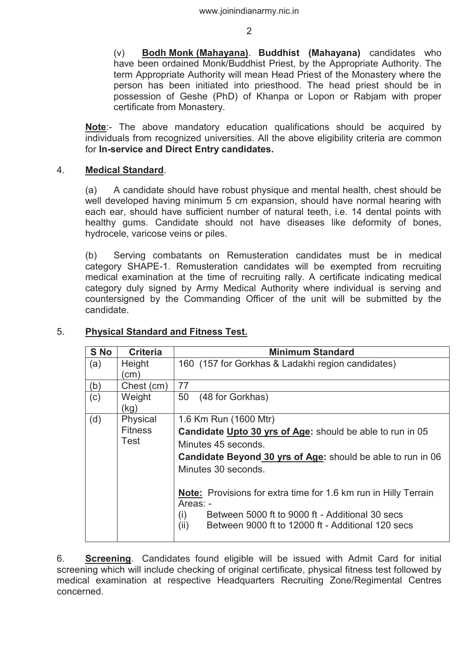(v) **Bodh Monk (Mahayana)**. **Buddhist (Mahayana)** candidates who have been ordained Monk/Buddhist Priest, by the Appropriate Authority. The term Appropriate Authority will mean Head Priest of the Monastery where the person has been initiated into priesthood. The head priest should be in possession of Geshe (PhD) of Khanpa or Lopon or Rabjam with proper certificate from Monastery.

**Note**:- The above mandatory education qualifications should be acquired by individuals from recognized universities. All the above eligibility criteria are common for **In-service and Direct Entry candidates.** 

### 4. **Medical Standard**.

(a) A candidate should have robust physique and mental health, chest should be well developed having minimum 5 cm expansion, should have normal hearing with each ear, should have sufficient number of natural teeth, i.e. 14 dental points with healthy gums. Candidate should not have diseases like deformity of bones, hydrocele, varicose veins or piles.

 (b) Serving combatants on Remusteration candidates must be in medical category SHAPE-1. Remusteration candidates will be exempted from recruiting medical examination at the time of recruiting rally. A certificate indicating medical category duly signed by Army Medical Authority where individual is serving and countersigned by the Commanding Officer of the unit will be submitted by the candidate.

| S No | <b>Criteria</b> | <b>Minimum Standard</b>                                                |
|------|-----------------|------------------------------------------------------------------------|
| (a)  | Height          | 160 (157 for Gorkhas & Ladakhi region candidates)                      |
|      | cm)             |                                                                        |
| (b)  | Chest (cm)      | 77                                                                     |
| (c)  | Weight          | 50<br>(48 for Gorkhas)                                                 |
|      | (kg)            |                                                                        |
| (d)  | Physical        | 1.6 Km Run (1600 Mtr)                                                  |
|      | <b>Fitness</b>  | <b>Candidate Upto 30 yrs of Age:</b> should be able to run in 05       |
|      | Test            | Minutes 45 seconds.                                                    |
|      |                 | Candidate Beyond 30 yrs of Age: should be able to run in 06            |
|      |                 | Minutes 30 seconds.                                                    |
|      |                 |                                                                        |
|      |                 | <b>Note:</b> Provisions for extra time for 1.6 km run in Hilly Terrain |
|      |                 | Areas: -                                                               |
|      |                 | Between 5000 ft to 9000 ft - Additional 30 secs<br>(i)                 |
|      |                 | (ii)<br>Between 9000 ft to 12000 ft - Additional 120 secs              |
|      |                 |                                                                        |

# 5. **Physical Standard and Fitness Test.**

6. **Screening**. Candidates found eligible will be issued with Admit Card for initial screening which will include checking of original certificate, physical fitness test followed by medical examination at respective Headquarters Recruiting Zone/Regimental Centres concerned.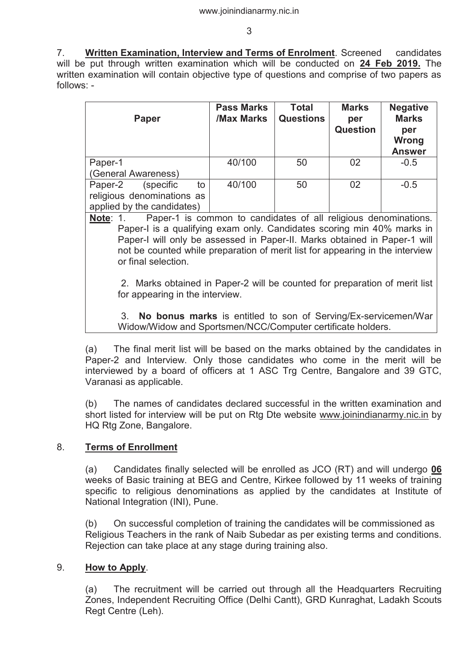7. **Written Examination, Interview and Terms of Enrolment**. Screened candidates will be put through written examination which will be conducted on **24 Feb 2019.** The written examination will contain objective type of questions and comprise of two papers as follows: -

| <b>Paper</b>                                             | <b>Pass Marks</b><br>/Max Marks | <b>Total</b><br><b>Questions</b> | <b>Marks</b><br>per<br><b>Question</b> | <b>Negative</b><br><b>Marks</b><br>per<br><b>Wrong</b><br><b>Answer</b> |
|----------------------------------------------------------|---------------------------------|----------------------------------|----------------------------------------|-------------------------------------------------------------------------|
| Paper-1                                                  | 40/100                          | 50                               | 02                                     | $-0.5$                                                                  |
| (General Awareness)                                      |                                 |                                  |                                        |                                                                         |
| Paper-2<br>(specific)<br>to                              | 40/100                          | 50                               | 02                                     | $-0.5$                                                                  |
| religious denominations as<br>applied by the candidates) |                                 |                                  |                                        |                                                                         |

**Note**: 1. Paper-1 is common to candidates of all religious denominations. Paper-I is a qualifying exam only. Candidates scoring min 40% marks in Paper-I will only be assessed in Paper-II. Marks obtained in Paper-1 will not be counted while preparation of merit list for appearing in the interview or final selection.

 2. Marks obtained in Paper-2 will be counted for preparation of merit list for appearing in the interview.

 3. **No bonus marks** is entitled to son of Serving/Ex-servicemen/War Widow/Widow and Sportsmen/NCC/Computer certificate holders.

(a) The final merit list will be based on the marks obtained by the candidates in Paper-2 and Interview. Only those candidates who come in the merit will be interviewed by a board of officers at 1 ASC Trg Centre, Bangalore and 39 GTC, Varanasi as applicable.

(b) The names of candidates declared successful in the written examination and short listed for interview will be put on Rtg Dte website www.joinindianarmy.nic.in by HQ Rtg Zone, Bangalore.

# 8. **Terms of Enrollment**

(a) Candidates finally selected will be enrolled as JCO (RT) and will undergo **06** weeks of Basic training at BEG and Centre, Kirkee followed by 11 weeks of training specific to religious denominations as applied by the candidates at Institute of National Integration (INI), Pune.

(b) On successful completion of training the candidates will be commissioned as Religious Teachers in the rank of Naib Subedar as per existing terms and conditions. Rejection can take place at any stage during training also.

# 9. **How to Apply**.

 (a) The recruitment will be carried out through all the Headquarters Recruiting Zones, Independent Recruiting Office (Delhi Cantt), GRD Kunraghat, Ladakh Scouts Regt Centre (Leh).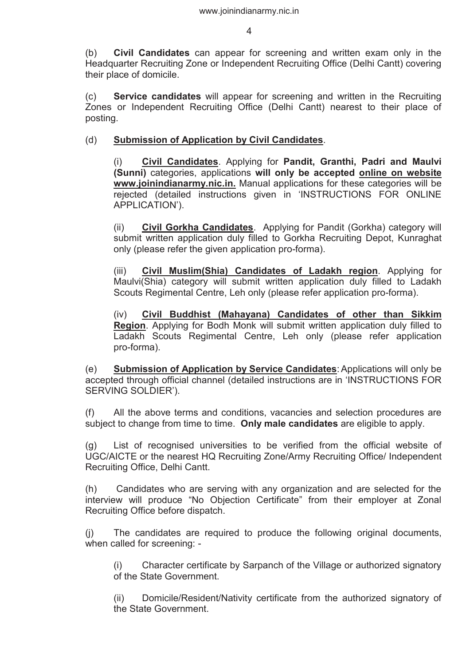(b) **Civil Candidates** can appear for screening and written exam only in the Headquarter Recruiting Zone or Independent Recruiting Office (Delhi Cantt) covering their place of domicile.

 (c) **Service candidates** will appear for screening and written in the Recruiting Zones or Independent Recruiting Office (Delhi Cantt) nearest to their place of posting.

### (d) **Submission of Application by Civil Candidates**.

(i) **Civil Candidates**. Applying for **Pandit, Granthi, Padri and Maulvi (Sunni)** categories, applications **will only be accepted online on website www.joinindianarmy.nic.in.** Manual applications for these categories will be rejected (detailed instructions given in 'INSTRUCTIONS FOR ONLINE APPLICATION').

(ii) **Civil Gorkha Candidates**.Applying for Pandit (Gorkha) category will submit written application duly filled to Gorkha Recruiting Depot, Kunraghat only (please refer the given application pro-forma).

(iii) **Civil Muslim(Shia) Candidates of Ladakh region**. Applying for Maulvi(Shia) category will submit written application duly filled to Ladakh Scouts Regimental Centre, Leh only (please refer application pro-forma).

(iv) **Civil Buddhist (Mahayana) Candidates of other than Sikkim Region**. Applying for Bodh Monk will submit written application duly filled to Ladakh Scouts Regimental Centre, Leh only (please refer application pro-forma).

(e) **Submission of Application by Service Candidates**: Applications will only be accepted through official channel (detailed instructions are in 'INSTRUCTIONS FOR SERVING SOLDIER').

(f) All the above terms and conditions, vacancies and selection procedures are subject to change from time to time. **Only male candidates** are eligible to apply.

(g) List of recognised universities to be verified from the official website of UGC/AICTE or the nearest HQ Recruiting Zone/Army Recruiting Office/ Independent Recruiting Office, Delhi Cantt.

(h) Candidates who are serving with any organization and are selected for the interview will produce "No Objection Certificate" from their employer at Zonal Recruiting Office before dispatch.

(j) The candidates are required to produce the following original documents, when called for screening: -

Character certificate by Sarpanch of the Village or authorized signatory of the State Government.

(ii) Domicile/Resident/Nativity certificate from the authorized signatory of the State Government.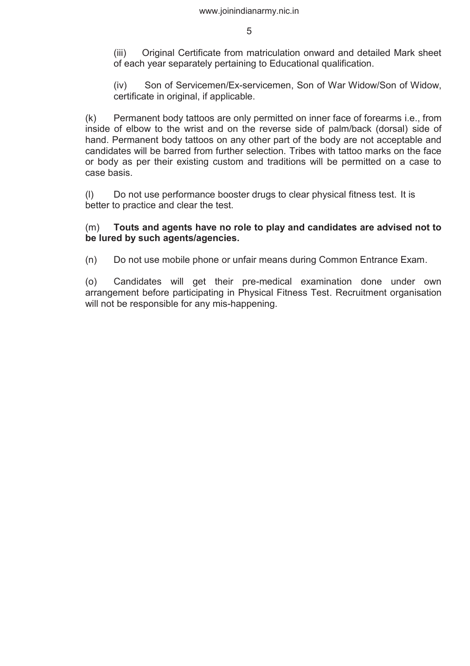(iii) Original Certificate from matriculation onward and detailed Mark sheet of each year separately pertaining to Educational qualification.

(iv) Son of Servicemen/Ex-servicemen, Son of War Widow/Son of Widow, certificate in original, if applicable.

(k) Permanent body tattoos are only permitted on inner face of forearms i.e., from inside of elbow to the wrist and on the reverse side of palm/back (dorsal) side of hand. Permanent body tattoos on any other part of the body are not acceptable and candidates will be barred from further selection. Tribes with tattoo marks on the face or body as per their existing custom and traditions will be permitted on a case to case basis.

(l) Do not use performance booster drugs to clear physical fitness test. It is better to practice and clear the test.

### (m) **Touts and agents have no role to play and candidates are advised not to be lured by such agents/agencies.**

(n) Do not use mobile phone or unfair means during Common Entrance Exam.

(o) Candidates will get their pre-medical examination done under own arrangement before participating in Physical Fitness Test. Recruitment organisation will not be responsible for any mis-happening.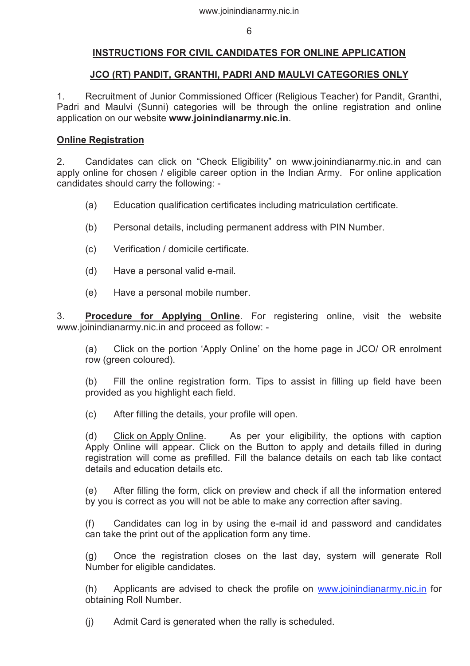### **INSTRUCTIONS FOR CIVIL CANDIDATES FOR ONLINE APPLICATION**

### **JCO (RT) PANDIT, GRANTHI, PADRI AND MAULVI CATEGORIES ONLY**

1. Recruitment of Junior Commissioned Officer (Religious Teacher) for Pandit, Granthi, Padri and Maulvi (Sunni) categories will be through the online registration and online application on our website **www.joinindianarmy.nic.in**.

### **Online Registration**

2. Candidates can click on "Check Eligibility" on www.joinindianarmy.nic.in and can apply online for chosen / eligible career option in the Indian Army. For online application candidates should carry the following: -

- (a) Education qualification certificates including matriculation certificate.
- (b) Personal details, including permanent address with PIN Number.
- (c) Verification / domicile certificate.
- (d) Have a personal valid e-mail.
- (e) Have a personal mobile number.

3. **Procedure for Applying Online**. For registering online, visit the website www.joinindianarmy.nic.in and proceed as follow: -

(a) Click on the portion 'Apply Online' on the home page in JCO/ OR enrolment row (green coloured).

(b) Fill the online registration form. Tips to assist in filling up field have been provided as you highlight each field.

(c) After filling the details, your profile will open.

(d) Click on Apply Online. As per your eligibility, the options with caption Apply Online will appear. Click on the Button to apply and details filled in during registration will come as prefilled. Fill the balance details on each tab like contact details and education details etc.

(e) After filling the form, click on preview and check if all the information entered by you is correct as you will not be able to make any correction after saving.

(f) Candidates can log in by using the e-mail id and password and candidates can take the print out of the application form any time.

(g) Once the registration closes on the last day, system will generate Roll Number for eligible candidates.

(h) Applicants are advised to check the profile on www.joinindianarmy.nic.in for obtaining Roll Number.

(j) Admit Card is generated when the rally is scheduled.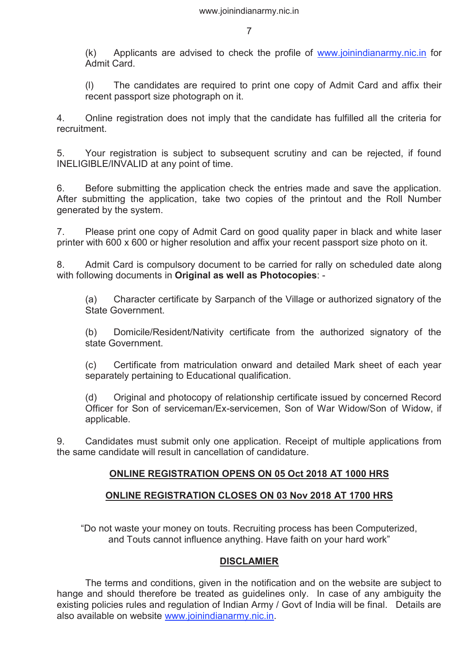(k) Applicants are advised to check the profile of www.joinindianarmy.nic.in for Admit Card.

(l) The candidates are required to print one copy of Admit Card and affix their recent passport size photograph on it.

4. Online registration does not imply that the candidate has fulfilled all the criteria for recruitment.

5. Your registration is subject to subsequent scrutiny and can be rejected, if found INELIGIBLE/INVALID at any point of time.

6. Before submitting the application check the entries made and save the application. After submitting the application, take two copies of the printout and the Roll Number generated by the system.

7. Please print one copy of Admit Card on good quality paper in black and white laser printer with 600 x 600 or higher resolution and affix your recent passport size photo on it.

8. Admit Card is compulsory document to be carried for rally on scheduled date along with following documents in **Original as well as Photocopies**: -

(a) Character certificate by Sarpanch of the Village or authorized signatory of the State Government.

(b) Domicile/Resident/Nativity certificate from the authorized signatory of the state Government.

(c) Certificate from matriculation onward and detailed Mark sheet of each year separately pertaining to Educational qualification.

(d) Original and photocopy of relationship certificate issued by concerned Record Officer for Son of serviceman/Ex-servicemen, Son of War Widow/Son of Widow, if applicable.

9. Candidates must submit only one application. Receipt of multiple applications from the same candidate will result in cancellation of candidature.

# **ONLINE REGISTRATION OPENS ON 05 Oct 2018 AT 1000 HRS**

### **ONLINE REGISTRATION CLOSES ON 03 Nov 2018 AT 1700 HRS**

"Do not waste your money on touts. Recruiting process has been Computerized, and Touts cannot influence anything. Have faith on your hard work"

### **DISCLAMIER**

 The terms and conditions, given in the notification and on the website are subject to hange and should therefore be treated as guidelines only. In case of any ambiguity the existing policies rules and regulation of Indian Army / Govt of India will be final. Details are also available on website www.joinindianarmy.nic.in.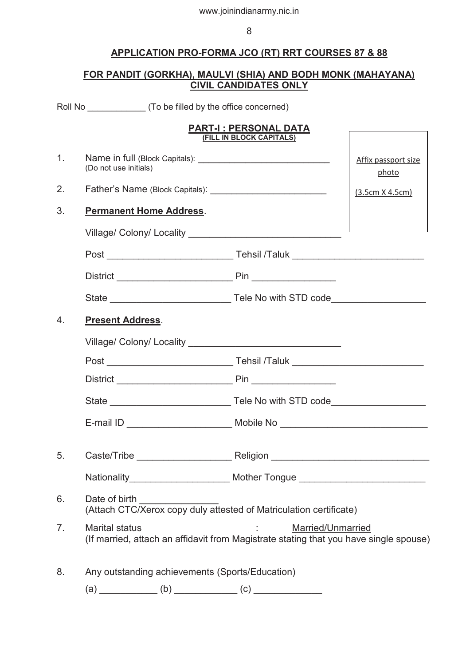# **APPLICATION PRO-FORMA JCO (RT) RRT COURSES 87 & 88**

### **FOR PANDIT (GORKHA), MAULVI (SHIA) AND BODH MONK (MAHAYANA) CIVIL CANDIDATES ONLY**

|                | Roll No __________________ (To be filled by the office concerned)                                              |                                                          |                              |
|----------------|----------------------------------------------------------------------------------------------------------------|----------------------------------------------------------|------------------------------|
|                |                                                                                                                | <b>PART-I: PERSONAL DATA</b><br>(FILL IN BLOCK CAPITALS) |                              |
| 1 <sub>1</sub> | (Do not use initials)                                                                                          |                                                          | Affix passport size<br>photo |
| 2.             |                                                                                                                |                                                          | (3.5cm X 4.5cm)              |
| 3.             | <b>Permanent Home Address.</b>                                                                                 |                                                          |                              |
|                |                                                                                                                |                                                          |                              |
|                |                                                                                                                |                                                          |                              |
|                |                                                                                                                |                                                          |                              |
|                |                                                                                                                |                                                          |                              |
| 4.             | <b>Present Address.</b>                                                                                        |                                                          |                              |
|                |                                                                                                                |                                                          |                              |
|                |                                                                                                                |                                                          |                              |
|                |                                                                                                                |                                                          |                              |
|                |                                                                                                                |                                                          |                              |
|                |                                                                                                                |                                                          |                              |
| 5.             |                                                                                                                |                                                          |                              |
|                | Nationality__________________________ Mother Tongue ____________________________                               |                                                          |                              |
| 6.             | Date of birth <b>Exercise 2018</b><br>(Attach CTC/Xerox copy duly attested of Matriculation certificate)       |                                                          |                              |
| 7.             | <b>Marital status</b><br>(If married, attach an affidavit from Magistrate stating that you have single spouse) | <b>Married/Unmarried</b>                                 |                              |
| 8.             | Any outstanding achievements (Sports/Education)                                                                |                                                          |                              |
|                |                                                                                                                |                                                          |                              |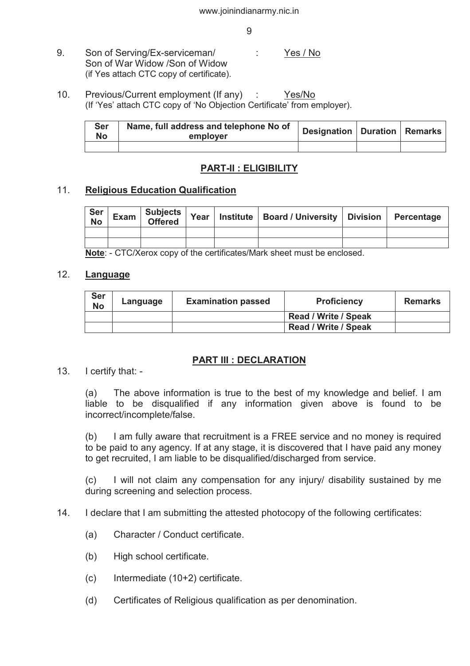- 9. Son of Serving/Ex-serviceman/ : Yes / No Son of War Widow /Son of Widow (if Yes attach CTC copy of certificate).
- 10. Previous/Current employment (If any) : Yes/No (If 'Yes' attach CTC copy of 'No Objection Certificate' from employer).

| Ser<br>No | Name, full address and telephone No of<br>employer | Designation   Duration   Remarks |  |
|-----------|----------------------------------------------------|----------------------------------|--|
|           |                                                    |                                  |  |

# **PART-II : ELIGIBILITY**

### 11. **Religious Education Qualification**

| Ser<br>No |  |  | Offered Year Institute Board / University Division Percentage |  |
|-----------|--|--|---------------------------------------------------------------|--|
|           |  |  |                                                               |  |
|           |  |  |                                                               |  |

**Note**: - CTC/Xerox copy of the certificates/Mark sheet must be enclosed.

### 12. **Language**

| <b>Ser</b><br><b>No</b> | Language | <b>Examination passed</b> | <b>Proficiency</b>          | <b>Remarks</b> |
|-------------------------|----------|---------------------------|-----------------------------|----------------|
|                         |          |                           | <b>Read / Write / Speak</b> |                |
|                         |          |                           | <b>Read / Write / Speak</b> |                |

### **PART III : DECLARATION**

13. I certify that: -

(a) The above information is true to the best of my knowledge and belief. I am liable to be disqualified if any information given above is found to be incorrect/incomplete/false.

(b) I am fully aware that recruitment is a FREE service and no money is required to be paid to any agency. If at any stage, it is discovered that I have paid any money to get recruited, I am liable to be disqualified/discharged from service.

(c) I will not claim any compensation for any injury/ disability sustained by me during screening and selection process.

- 14. I declare that I am submitting the attested photocopy of the following certificates:
	- (a) Character / Conduct certificate.
	- (b) High school certificate.
	- (c) Intermediate (10+2) certificate.
	- (d) Certificates of Religious qualification as per denomination.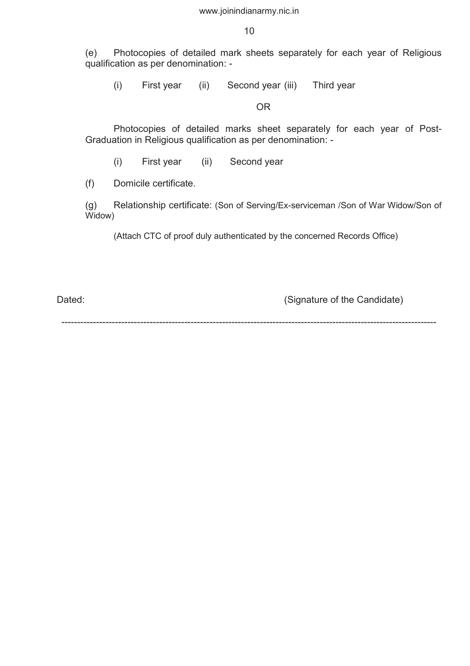10

(e) Photocopies of detailed mark sheets separately for each year of Religious qualification as per denomination: -

(i) First year (ii) Second year (iii) Third year

OR

Photocopies of detailed marks sheet separately for each year of Post-Graduation in Religious qualification as per denomination: -

(i) First year (ii) Second year

(f) Domicile certificate.

(g) Relationship certificate: (Son of Serving/Ex-serviceman /Son of War Widow/Son of Widow)

(Attach CTC of proof duly authenticated by the concerned Records Office)

Dated: Dated: Constant Contract Constant Constant Constant Constant Constant Constant Constant Constant Constant Constant Constant Constant Constant Constant Constant Constant Constant Constant Constant Constant Constant C

-----------------------------------------------------------------------------------------------------------------------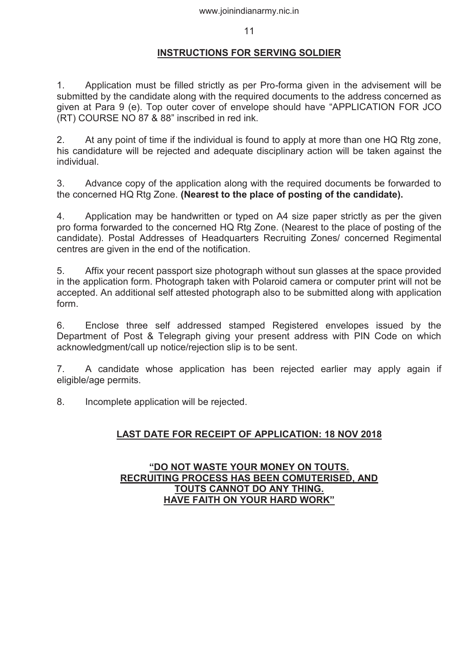### **INSTRUCTIONS FOR SERVING SOLDIER**

1. Application must be filled strictly as per Pro-forma given in the advisement will be submitted by the candidate along with the required documents to the address concerned as given at Para 9 (e). Top outer cover of envelope should have "APPLICATION FOR JCO (RT) COURSE NO 87 & 88" inscribed in red ink.

2. At any point of time if the individual is found to apply at more than one HQ Rtg zone, his candidature will be rejected and adequate disciplinary action will be taken against the individual.

3. Advance copy of the application along with the required documents be forwarded to the concerned HQ Rtg Zone. **(Nearest to the place of posting of the candidate).**

4. Application may be handwritten or typed on A4 size paper strictly as per the given pro forma forwarded to the concerned HQ Rtg Zone. (Nearest to the place of posting of the candidate). Postal Addresses of Headquarters Recruiting Zones/ concerned Regimental centres are given in the end of the notification.

5. Affix your recent passport size photograph without sun glasses at the space provided in the application form. Photograph taken with Polaroid camera or computer print will not be accepted. An additional self attested photograph also to be submitted along with application form.

6. Enclose three self addressed stamped Registered envelopes issued by the Department of Post & Telegraph giving your present address with PIN Code on which acknowledgment/call up notice/rejection slip is to be sent.

7. A candidate whose application has been rejected earlier may apply again if eligible/age permits.

8. Incomplete application will be rejected.

# **LAST DATE FOR RECEIPT OF APPLICATION: 18 NOV 2018**

### **"DO NOT WASTE YOUR MONEY ON TOUTS. RECRUITING PROCESS HAS BEEN COMUTERISED, AND TOUTS CANNOT DO ANY THING. HAVE FAITH ON YOUR HARD WORK"**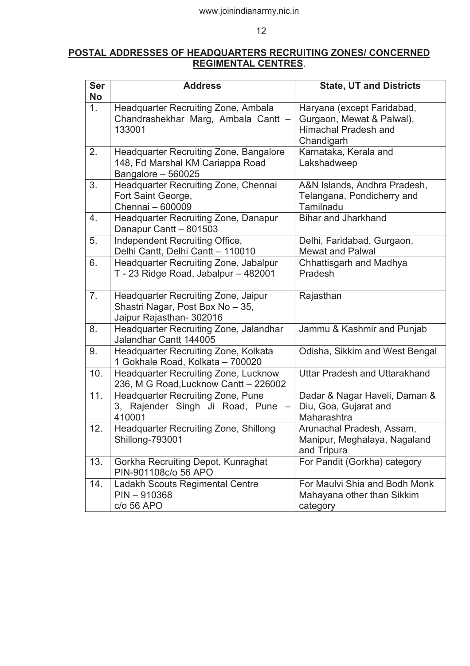# **POSTAL ADDRESSES OF HEADQUARTERS RECRUITING ZONES/ CONCERNED REGIMENTAL CENTRES**.

| <b>Ser</b><br><b>No</b> | <b>Address</b>                                                                                          | <b>State, UT and Districts</b>                                                                       |
|-------------------------|---------------------------------------------------------------------------------------------------------|------------------------------------------------------------------------------------------------------|
| 1.                      | Headquarter Recruiting Zone, Ambala<br>Chandrashekhar Marg, Ambala Cantt -<br>133001                    | Haryana (except Faridabad,<br>Gurgaon, Mewat & Palwal),<br><b>Himachal Pradesh and</b><br>Chandigarh |
| 2.                      | <b>Headquarter Recruiting Zone, Bangalore</b><br>148, Fd Marshal KM Cariappa Road<br>Bangalore - 560025 | Karnataka, Kerala and<br>Lakshadweep                                                                 |
| 3.                      | Headquarter Recruiting Zone, Chennai<br>Fort Saint George,<br>Chennai - 600009                          | A&N Islands, Andhra Pradesh,<br>Telangana, Pondicherry and<br>Tamilnadu                              |
| 4.                      | <b>Headquarter Recruiting Zone, Danapur</b><br>Danapur Cantt - 801503                                   | <b>Bihar and Jharkhand</b>                                                                           |
| 5.                      | Independent Recruiting Office,<br>Delhi Cantt, Delhi Cantt - 110010                                     | Delhi, Faridabad, Gurgaon,<br><b>Mewat and Palwal</b>                                                |
| 6.                      | <b>Headquarter Recruiting Zone, Jabalpur</b><br>T - 23 Ridge Road, Jabalpur - 482001                    | Chhattisgarh and Madhya<br>Pradesh                                                                   |
| 7.                      | Headquarter Recruiting Zone, Jaipur<br>Shastri Nagar, Post Box No - 35,<br>Jaipur Rajasthan- 302016     | Rajasthan                                                                                            |
| 8.                      | Headquarter Recruiting Zone, Jalandhar<br>Jalandhar Cantt 144005                                        | Jammu & Kashmir and Punjab                                                                           |
| 9.                      | Headquarter Recruiting Zone, Kolkata<br>1 Gokhale Road, Kolkata - 700020                                | Odisha, Sikkim and West Bengal                                                                       |
| 10.                     | <b>Headquarter Recruiting Zone, Lucknow</b><br>236, M G Road, Lucknow Cantt - 226002                    | Uttar Pradesh and Uttarakhand                                                                        |
| 11.                     | <b>Headquarter Recruiting Zone, Pune</b><br>3, Rajender Singh Ji Road, Pune<br>410001                   | Dadar & Nagar Haveli, Daman &<br>Diu, Goa, Gujarat and<br>Maharashtra                                |
| 12.                     | Headquarter Recruiting Zone, Shillong<br>Shillong-793001                                                | Arunachal Pradesh, Assam,<br>Manipur, Meghalaya, Nagaland<br>and Tripura                             |
| 13.                     | Gorkha Recruiting Depot, Kunraghat<br>PIN-901108c/o 56 APO                                              | For Pandit (Gorkha) category                                                                         |
| 14.                     | Ladakh Scouts Regimental Centre<br>$PIN - 910368$<br>c/o 56 APO                                         | For Maulvi Shia and Bodh Monk<br>Mahayana other than Sikkim<br>category                              |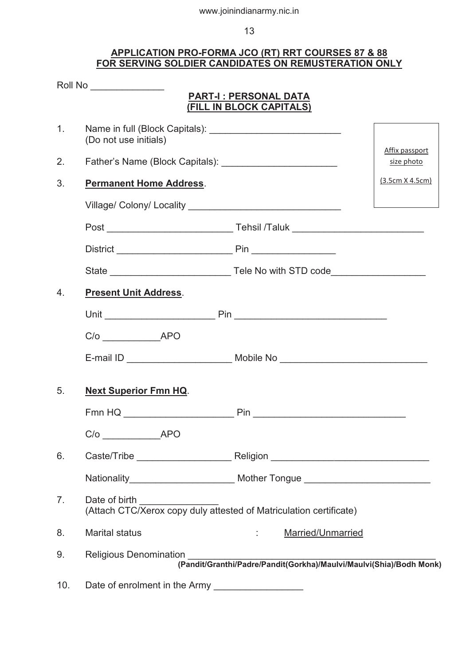### **APPLICATION PRO-FORMA JCO (RT) RRT COURSES 87 & 88 FOR SERVING SOLDIER CANDIDATES ON REMUSTERATION ONLY**

|                | Roll No ________________                                                                          |                                                                                  |                 |
|----------------|---------------------------------------------------------------------------------------------------|----------------------------------------------------------------------------------|-----------------|
|                |                                                                                                   | PART-I: PERSONAL DATA<br>(FILL IN BLOCK CAPITALS)                                |                 |
| 1 <sub>1</sub> | (Do not use initials)                                                                             |                                                                                  | Affix passport  |
| 2.             |                                                                                                   |                                                                                  | size photo      |
| 3.             | <b>Permanent Home Address.</b>                                                                    |                                                                                  | (3.5cm X 4.5cm) |
|                |                                                                                                   |                                                                                  |                 |
|                |                                                                                                   |                                                                                  |                 |
|                |                                                                                                   |                                                                                  |                 |
|                |                                                                                                   |                                                                                  |                 |
| 4.             | <b>Present Unit Address.</b>                                                                      |                                                                                  |                 |
|                |                                                                                                   |                                                                                  |                 |
|                | $C/O$ $APO$                                                                                       |                                                                                  |                 |
|                |                                                                                                   | E-mail ID __________________________ Mobile No _________________________________ |                 |
| 5.             | <b>Next Superior Fmn HQ.</b>                                                                      |                                                                                  |                 |
|                |                                                                                                   |                                                                                  |                 |
|                | C/o APO                                                                                           |                                                                                  |                 |
| 6.             |                                                                                                   |                                                                                  |                 |
|                |                                                                                                   |                                                                                  |                 |
| 7 <sub>1</sub> | Date of birth _____________<br>(Attach CTC/Xerox copy duly attested of Matriculation certificate) |                                                                                  |                 |
| 8.             | <b>Marital status</b>                                                                             | Married/Unmarried<br>$\mathbb{R}^n$ and $\mathbb{R}^n$                           |                 |
| 9.             | <b>Religious Denomination</b>                                                                     | ווט<br>(Pandit/Granthi/Padre/Pandit(Gorkha)/Maulvi/Maulvi(Shia)/Bodh Monk)       |                 |
| 10.            |                                                                                                   | Date of enrolment in the Army _____________________                              |                 |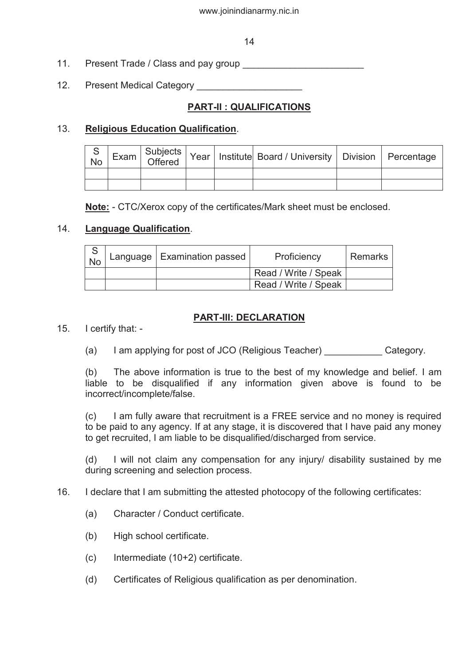### 14

- 11. Present Trade / Class and pay group **Fig. 11. Present Trade / Class and pay group**
- 12. Present Medical Category

# **PART-II : QUALIFICATIONS**

# 13. **Religious Education Qualification**.

| S<br><b>No</b> |  |  | Exam Subjects Year   Institute Board / University   Division   Percentage |  |
|----------------|--|--|---------------------------------------------------------------------------|--|
|                |  |  |                                                                           |  |
|                |  |  |                                                                           |  |

**Note:** - CTC/Xerox copy of the certificates/Mark sheet must be enclosed.

# 14. **Language Qualification**.

| <b>No</b> | Language   Examination passed | Proficiency          | l Remarks |
|-----------|-------------------------------|----------------------|-----------|
|           |                               | Read / Write / Speak |           |
|           |                               | Read / Write / Speak |           |

# **PART-III: DECLARATION**

- 15. I certify that:
	- (a) I am applying for post of JCO (Religious Teacher) Category.

(b) The above information is true to the best of my knowledge and belief. I am liable to be disqualified if any information given above is found to be incorrect/incomplete/false.

(c) I am fully aware that recruitment is a FREE service and no money is required to be paid to any agency. If at any stage, it is discovered that I have paid any money to get recruited, I am liable to be disqualified/discharged from service.

(d) I will not claim any compensation for any injury/ disability sustained by me during screening and selection process.

### 16. I declare that I am submitting the attested photocopy of the following certificates:

- (a) Character / Conduct certificate.
- (b) High school certificate.
- (c) Intermediate (10+2) certificate.
- (d) Certificates of Religious qualification as per denomination.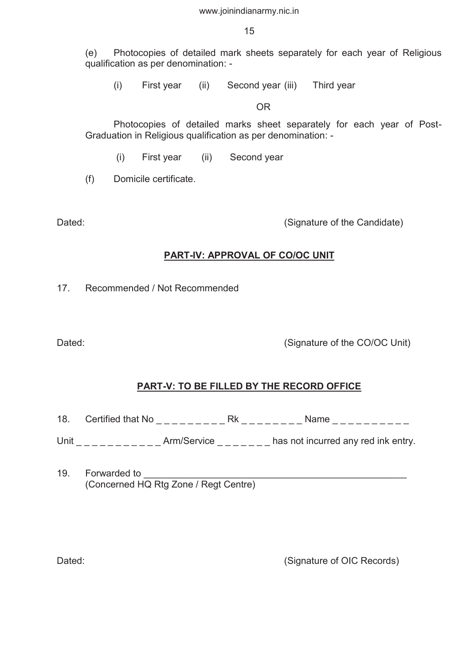15

(e) Photocopies of detailed mark sheets separately for each year of Religious qualification as per denomination: -

(i) First year (ii) Second year (iii) Third year

OR

Photocopies of detailed marks sheet separately for each year of Post-Graduation in Religious qualification as per denomination: -

(i) First year (ii) Second year

(f) Domicile certificate.

Dated: Dated: Constant Contract Constant Constant Constant Constant Constant Constant Constant Constant Constant Constant Constant Constant Constant Constant Constant Constant Constant Constant Constant Constant Constant C

# **PART-IV: APPROVAL OF CO/OC UNIT**

17. Recommended / Not Recommended

Dated: Contact Contact Contact Contact Contact Contact Contact Contact Contact Contact Contact Contact Contact Contact Contact Contact Contact Contact Contact Contact Contact Contact Contact Contact Contact Contact Contact

# **PART-V: TO BE FILLED BY THE RECORD OFFICE**

18. Certified that No \_ \_ \_ \_ \_ \_ \_ \_ \_ Rk \_ \_ \_ \_ \_ \_ \_ \_ Name \_ \_ \_ \_ \_ \_ \_ \_ \_ \_

Unit \_\_\_\_\_\_\_\_\_\_\_\_\_Arm/Service \_\_\_\_\_\_\_ has not incurred any red ink entry.

19. Forwarded to (Concerned HQ Rtg Zone / Regt Centre)

Dated: Dated: Contract Contract Contract Contract Contract Contract Contract Contract Contract Contract Contract Contract Contract Contract Contract Contract Contract Contract Contract Contract Contract Contract Contract C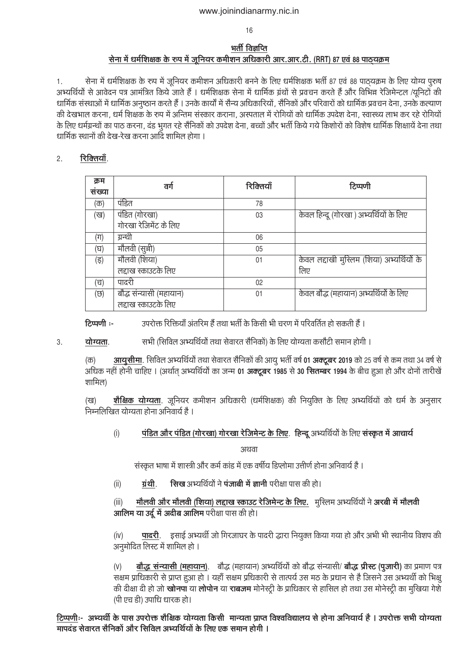16

### भर्ती विज्ञप्ति सेना में धर्मशिक्षक के रूप में जुनियर कमीशन अधिकारी आर.आर.टी. (RRT) 87 एवं 88 पाठयक्रम

सेना में धर्मशिक्षक के रुप में जूनियर कमीशन अधिकारी बनने के लिए धर्मशिक्षक भर्ती 87 एवं 88 पाठयक्रम के लिए योग्य पुरुष  $1.$ अभ्यर्थियों से आवेदन पत्र आमंत्रित किये जाते हैं । धर्मशिक्षक सेना में धार्मिक ग्रंथों से प्रवचन करते हैं और विभिन्न रेजिमेन्टल /यूनिटों की धार्मिक संस्थाओं में धार्मिक अनुष्ठान करते हैं । उनके कार्यों में सैन्य अधिकारियों , सैनिकों और परिवारों को धार्मिक प्रवचन देना , उनके कल्याण की देखभाल करना, धर्म शिक्षक के रुप में अन्तिम संस्कार कराना, अस्पताल में रोगियों को धार्मिक उपदेश देना, स्वास्थ्य लाभ कर रहे रोगियों के लिए धर्मग्रन्थों का पाठ करना, दंड भुगत रहे सैनिकों को उपदेश देना, बच्चों और भर्ती किये गये किशोरों को विशेष धार्मिक शिक्षायें देना तथा धार्मिक स्थानों की देख-रेख करना आदि शामिल होगा ।

#### रिक्तियाँ.  $2.$

| क्रम    | वर्ग                    | रिक्तियाँ | टिप्पणी                                    |
|---------|-------------------------|-----------|--------------------------------------------|
| सख्या   |                         |           |                                            |
| (क)     | पंडित                   | 78        |                                            |
| (ख)     | पंडित (गोरखा)           | 03        | केवल हिन्दू (गोरखा ) अभ्यर्थियों के लिए    |
|         | गोरखा रेजिमेंट के लिए   |           |                                            |
| $(\Pi)$ | ग्रन्थी                 | 06        |                                            |
| (घ)     | मौलवी (सूची)            | 05        |                                            |
| (इ)     | मौलवी (शिया)            | 01        | केवल लद्दाखी मुस्लिम (शिया) अभ्यर्थियों के |
|         | लद्दाख स्काउटके लिए     |           | लिए                                        |
| (च)     | पादरी                   | 02        |                                            |
| (छ)     | बौद्ध संन्यासी (महायान) | 01        | केवल बौद्ध (महायान) अभ्यर्थियों के लिए     |
|         | लद्दाख स्काउटके लिए     |           |                                            |

रिप्पणी :-उपरोक्त रिक्तियॉं अंतरिम हैं तथा भर्ती के किसी भी चरण में परिवर्तित हो सकती हैं ।

योग्यता. सभी (सिविल अभ्यर्थियों तथा सेवारत सैनिकों) के लिए योग्यता कसौटी समान होगी । 3.

आयुसीमा. सिविल अभ्यर्थियों तथा सेवारत सैनिकों की आयु भर्ती वर्ष 01 अक्टूबर 2019 को 25 वर्ष से कम तथा 34 वर्ष से (क) अधिक नहीं होनी चाहिए । (अर्थात अभ्यर्थियों का जन्म 01 अक्टूबर 1985 से 30 सितम्बर 1994 के बीच हुआ हो और दोनों तारीखें शामिल)

शैक्षिक योग्यता. जूनियर कमीशन अधिकारी (धर्मशिक्षक) की नियुक्ति के लिए अभ्यर्थियों को धर्म के अनुसार (ख) निम्नलिखित योग्यता होना अनिवार्य है ।

 $(i)$ पंडित और पंडित (गोरखा) गोरखा रेजिमेन्ट के लिए. हिन्दू अभ्यर्थियों के लिए संस्कृत में आचार्य

अथवा

संस्कृत भाषा में शास्त्री और कर्म कांड में एक वर्षीय डिप्लोमा उत्तीर्ण होना अनिवार्य है ।

सिख अभ्यर्थियों ने पंजाबी में ज्ञानी परीक्षा पास की हो। ग्रंथी.  $(ii)$ 

<u>मौलवी और मौलवी (शिया) लद्दाख स्काउट रेजिमेन्ट के लिए. मुस्लिम अभ्यर्थियों ने अरबी में मौलवी</u>  $(iii)$ आलिम या उर्दू में अदीब आलिम परीक्षा पास की हो।

पादरी. इसाई अभ्यर्थी जो गिरजाघर के पादरी द्धारा नियुक्त किया गया हो और अभी भी स्थानीय विशप की  $(iv)$ अनुमोदित लिस्ट में शामिल हो ।

बौद्ध संन्यासी (महायान). बौद्ध (महायान) अभ्यर्थियों को बौद्ध संन्यासी/ बौद्ध प्रीस्ट (पूजारी) का प्रमाण पत्र  $(V)$ सक्षम प्राधिकारी से प्राप्त हुआ हो । यहाँ सक्षम प्रधिकारी से तात्पर्य उस मठ के प्रधान से है जिसने उस अभ्यर्थी को भिक्षू की दीक्षा दी हो जो **खोनपा** या **लोपोन** या **राबजम** मोनेस्ट्री के प्राधिकार से हासिल हो तथा उस मोनेस्ट्री का मुखिया गेशे (पी एच डी) उपाधि धारक हो।

टिप्पणीः- अभ्यर्थी के पास उपरोक्त शैक्षिक योग्यता किसी मान्यता प्राप्त विश्वविद्यालय से होना अनियार्य है। उपरोक्त सभी योग्यता मापदंड सेवारत सैनिकों और सिविल अभ्यर्थियों के लिए एक समान होगी ।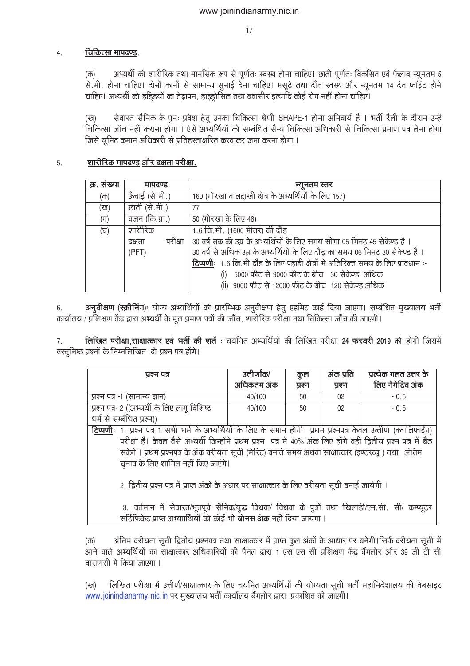#### चिकित्सा मापदण्ड.  $4.$

अभ्यर्थी को शारीरिक तथा मानसिक रूप से पूर्णतः स्वस्थ होना चाहिए। छाती पूर्णतः विकसित एवं फैलाव न्यूनतम 5  $(\overline{\Phi})$ से.मी. होना चाहिए। दोनों कानों से सामान्य सुनाई देना चाहिए। मसूढ़े तथा दाँत स्वस्थ और न्यूनतम 14 दंत प्वॉइंट होने चाहिए। अभ्यर्थी को हडिडयों का टेढ़ापन, हाइड्रोसिल तथा बवासीर इत्यादि कोई रोग नहीं होना चाहिए।

सेवारत सैनिक के पूनः प्रवेश हेतू उनका चिकित्सा श्रेणी SHAPE-1 होना अनिवार्य है । भर्ती रैली के दौरान उन्हें  $(\overline{\mathtt{v}\mathtt{g}})$ ्<br>चिकित्सा जॉच नहीं कराना होगा । ऐसे अभ्यर्थियों को सम्बंधित सैन्य चिकित्सा अधिकारी से चिकित्सा प्रमाण पत्र लेना होगा जिसे यूनिट कमान अधिकारी से प्रतिहस्ताक्षरित करवाकर जमा करना होगा ।

#### शारीरिक मापदण्ड और दक्षता परीक्षा. 5.

| क्र. सख्या | मापदण्ड        | न्यूनतम स्तर                                                                        |
|------------|----------------|-------------------------------------------------------------------------------------|
| (क)        | ऊँचाई (से.मी.) | 160 (गोरखा व लद्दाखी क्षेत्र के अभ्यर्थियों के लिए 157)                             |
| (ख)        | छाती (से.मी.)  | 77                                                                                  |
| $(\Pi)$    | वजन (कि.ग्रा.) | <u>50 (गोरखा के लिए 48)</u>                                                         |
| (घ)        | शारीरिक        | 1.6 कि.मी. (1600 मीतर) की दौड़                                                      |
|            | दक्षता         | परीक्षा   30 वर्ष तक की उम्र के अभ्यर्थियों के लिए समय सीमा 05 मिनट 45 सेकेण्ड है । |
|            | (PFT)          | 30 वर्ष से अधिक उम्र के अभ्यर्थियों के लिए दौड़ का समय 06 मिनट 30 सेकेण्ड है ।      |
|            |                | टिप्पणीः 1.6 कि.मी दौड़ के लिए पहाड़ी क्षेत्रों में अतिरिक्त समय के लिए प्रावधान:-  |
|            |                | 5000 फीट से 9000 फीट के बीच 030 सेकेण्ड)अधिक                                        |
|            |                | (ii) 9000 फीट से 12000 फीट के बीच 120 सेकेण्ड अधिक                                  |

अनुवीक्षण (स्क्रीनिंग)ः योग्य अभ्यर्थियों को प्रारम्भिक अनुवीक्षण हेतु एडमिट कार्ड दिया जाएगा। सम्बंधित मुख्यालय भर्ती 6. कार्यालय / प्रशिक्षण केंद्र द्वारा अभ्यर्थी के मूल प्रमाण पत्रों की जाँच, शारीरिक परीक्षा तथा चिकित्सा जाँच की जाएगी।

लिखित परीक्षा, साक्षात्कार एवं भर्ती की शर्ते : चयनित अभ्यर्थियों की लिखित परीक्षा 24 फरवरी 2019 को होगी जिसमें 7. वस्तूनिष्ठ प्रश्नों के निम्नलिखित दो प्रश्न पत्र होंगे।

| प्रश्न पत्र                                                                                                         | उत्तीर्णांक/                                                                                       | कुल    | अंक प्रति | प्रत्येक गलत उत्तर के |  |  |  |  |
|---------------------------------------------------------------------------------------------------------------------|----------------------------------------------------------------------------------------------------|--------|-----------|-----------------------|--|--|--|--|
|                                                                                                                     | अधिकतम अंक                                                                                         | प्रश्न | प्रश्न    | लिए नेगेटिव अंक       |  |  |  |  |
| प्रश्न पत्र -1 (सामान्य ज्ञान)                                                                                      | 40/100                                                                                             | 50     | 02        | $-0.5$                |  |  |  |  |
| प्रश्न पत्र- २ ((अभ्यर्थी के लिए लागू विशिष्ट)                                                                      | 40/100                                                                                             | 50     | 02        | $-0.5$                |  |  |  |  |
| धर्म से सम्बंधित प्रश्न))                                                                                           |                                                                                                    |        |           |                       |  |  |  |  |
| टिप्पणीः 1. प्रश्न पत्र 1 सभी धर्म के अभ्यर्थियों के लिए के समान होगी। प्रथम प्रश्नपत्र केवल उत्तीर्ण (क्वालिफाईंग) |                                                                                                    |        |           |                       |  |  |  |  |
| परीक्षा है। केवल वैसे अभ्यर्थी जिन्होंने प्रथम प्रश्न पत्र में 40% अंक लिए होंगे वही द्वितीय प्रश्न पत्र में बैठ    |                                                                                                    |        |           |                       |  |  |  |  |
| सकेंगे । प्रथम प्रश्नपत्र के अंक वरीयता सूची (मेरिट) बनाते समय अथवा साक्षात्कार (इण्टरव्यू ) तथा) अंतिम             |                                                                                                    |        |           |                       |  |  |  |  |
| चुनाव के लिए शामिल नहीं किए जाएंगे।                                                                                 |                                                                                                    |        |           |                       |  |  |  |  |
|                                                                                                                     |                                                                                                    |        |           |                       |  |  |  |  |
|                                                                                                                     | 2. द्वितीय प्रश्न पत्र में प्राप्त अंकों के अधार पर साक्षात्कार के लिए वरीयता सूची बनाई जायेगी ।   |        |           |                       |  |  |  |  |
|                                                                                                                     |                                                                                                    |        |           |                       |  |  |  |  |
|                                                                                                                     | 3. वर्तमान में सेवारत/भूतपूर्व सैनिक/युद्ध विधवा/ विधवा के पुत्रों तथा खिलाडी/एन.सी. सी/ कम्प्यूटर |        |           |                       |  |  |  |  |
| सर्टिफिकेट प्राप्त अभ्याार्थियों को कोई भी <b>बोनस अंक</b> नहीं दिया जायगा ।                                        |                                                                                                    |        |           |                       |  |  |  |  |

अंतिम वरीयता सूची द्वितीय प्रश्नपत्र तथा साक्षात्कार में प्राप्त कूल अंकों के आधार पर बनेगी।सिर्फ वरीयता सूची मे  $(\overline{\sigma})$ आने वाले अभ्यर्थियों का साक्षात्कार अधिकारियों की पैनल द्वारा 1 एस एस सी प्रशिक्षण केंद्र बैंगलोर और 39 जी टी सी वाराणसी में किया जाएगा ।

 $($ ख) लिखित परीक्षा में उत्तीर्ण/साक्षात्कार के लिए चयनित अभ्यर्थियों की योग्यता सूची भर्ती महानिदेशालय की वेबसाइट www.joinindianarmy.nic.in पर मुख्यालय भर्ती कार्यालय बैंगलोर द्वारा प्रकाशित की जाएगी।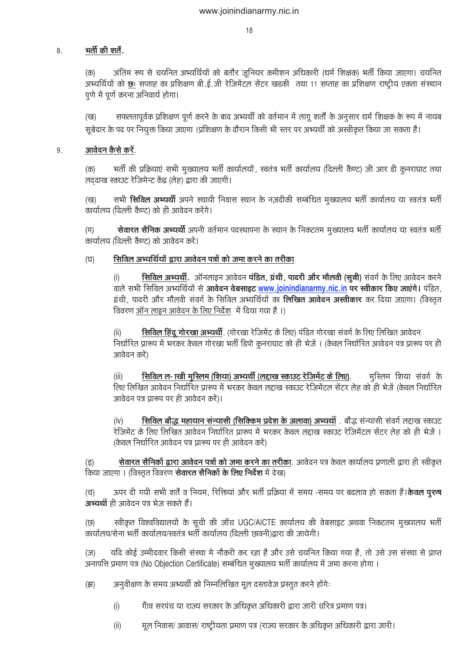#### भर्ती की शर्तें. 8

अंतिम रूप से चयनित अभ्यर्थियों को बतौर जूनियर कमीशन अधिकारी (धर्म शिक्षक) भर्ती किया जाएगा। चयनित  $(\overline{\sigma})$ अभ्यर्थियों को छः सप्ताह का प्रशिक्षण बी.ई.जी रेजिमेंटल सेंटर खड़की तथा 11 सप्ताह का प्रशिक्षण राष्ट्रीय एकता संस्थान पुणे में पूर्ण करना अनिवार्य होगा।

सफलतापूर्वक प्रशिक्षण पूर्ण करने के बाद अभ्यर्थी को वर्तमान में लागू शर्तों के अनुसार धर्म शिक्षक के रूप में नायब  $($ ख) सूबेदार के पद पर नियूक्त किया जाएगा ।प्रशिक्षण के दौरान किसी भी स्तर पर अभ्यर्थी को अस्वीकृत किया जा सकता है।

#### <u>आवेदन कैसे करें.</u> 9.

भर्ती की प्रक्रियाएं सभी मुख्यालय भर्ती कार्यालयों , स्वतंत्र भर्ती कार्यालय (दिल्ली कैण्ट) जी आर डी कुनराघाट तथा  $(\overline{\Phi})$ लददाख स्काउट रेजिमेन्ट केंद्र (लेह) द्वारा की जाएगी।

सभी सिविल अभ्यर्थी अपने स्थायी निवास स्थान के नज़दीकी सम्बंधित मुख्यालय भर्ती कार्यालय या स्वतंत्र भर्ती  $(\overline{\mathtt{cg}})$ कार्यालय (दिल्ली कैण्ट) को ही आवेदन करेंगे।

सेवारत सैनिक अभ्यर्थी अपनी वर्तमान पदस्थापना के स्थान के निकटतम मुख्यालय भर्ती कार्यालय या स्वतंत्र भर्ती  $(\pi)$ कार्यालय (दिल्ली कैण्ट) को आवेदन करें।

#### सिविल अभ्यर्थियों द्वारा आवेदन पत्रों को जमा करने का तरीका  $(\overline{u})$

सिविल अभ्यर्थी. ऑनलाइन आवेदन पंडित, ग्रंथी, पादरी और मौलवी (सून्नी) संवर्ग के लिए आवेदन करने  $(i)$ वाले सभी सिविल अभ्यर्थियों से आवेदन वेबसाइट www.joinindianarmy.nic.in पर स्वीकार किए जाएंगे। पंडित, ग्रंथी, पादरी और मौलवी संवर्ग के सिविल अभ्यर्थियों का **लिखित आवेदन अस्वीकार** कर दिया जाएगा। (विस्तृत विवरण ऑन लाइन आवेदन के लिए निर्देश में दिया गया है ।)

सिविल हिंदू गोरखा अभ्यर्थी. (गोरखा रेजिमेंट के लिए) पंडित गोरखा संवर्ग के लिए लिखित आवेदन निर्धारित प्रारूप में भरकर केवल गोरखा भर्ती डिपो कुनराघाट को ही भेजें । (केवल निर्धारित आवेदन पत्र प्रारूप पर ही आवेदन करें)

सिविल ल- ाखी मुस्लिम (शिया) अभ्यर्थी (लद्दाख स्काउट रेजिमेंट के लिए). मस्लिम शिया संवर्ग के  $(iii)$ लिए लिखित आवेदन निर्धारित प्रारूप में भरकर केवल लद्दाख स्काउट रेजिमेंटल सेंटर लेह को ही भेजें (केवल निर्धारित आवेदन पत्र प्रारूप पर ही आवेदन करें)।

सिविल बौद्ध महायान संन्यासी (सिक्किम प्रदेश के अलावा) अभ्यर्थी. बौद्ध संन्यासी संवर्ग लद्दाख स्काउट  $(iv)$ रेजिमेंट के लिए लिखित आवेदन निर्धारित प्रारूप में भरकर केवल लद्दाख स्काउंट रेजिमेंटल सेंटर लेह को ही भेजें । (केवल निर्धारित आवेदन पत्र प्रारूप पर ही आवेदन करें)

सेवारत सैनिकों द्वारा आवेदन पत्रों को जमा करने का तरीका. आवेदन पत्र केवल कार्यालय प्रणाली द्वारा ही स्वीकृत  $(\overline{5})$ किया जाएगा । (विस्तृत विवरण सेवारत सैनिकों के लिए निर्देश में देख)

ऊपर दी गयी सभी शर्तें व नियम, रिक्तियां और भर्ती प्रक्रिया में समय -समय पर बदलाव हो सकता है। **केवल पूरुष**  $(\overline{u})$ अभ्यर्थी ही आवेदन पत्र भेज सकते हैं।

स्वीकृत विश्वविद्यालयों के सूची की जॉच UGC/AICTE कार्यालय की वेबसाइट अथवा निकटतम मुख्यालय भर्ती (छ) कार्यालय/सेना भर्ती कार्यालय/स्वतंत्र भर्ती कार्यालय (दिल्ली छावनी)द्वारा की जायेगी।

यदि कोई उम्मीदवार किसी संस्था मे नौकरी कर रहा है और उसे चयनित किया गया है, तो उसे उस संस्था से प्राप्त  $(\overline{J})$ अनापत्ति प्रमाण पत्र (No Objection Certificate) सम्बंधित मुख्यालय भर्ती कार्यालय में जमा करना होगा ।

अनुवीक्षण के समय अभ्यर्थी को निम्नलिखित मूल दस्तावेज प्रस्तूत करने होंगे:  $($ झ)

- गाँव सरपंच या राज्य सरकार के अधिकृत अधिकारी द्वारा जारी चरित्र प्रमाण पत्र।  $(i)$
- मूल निवास/ आवास/ राष्ट्रीयता प्रमाण पत्र (राज्य सरकार के अधिकृत अधिकारी द्वारा जारी।  $(ii)$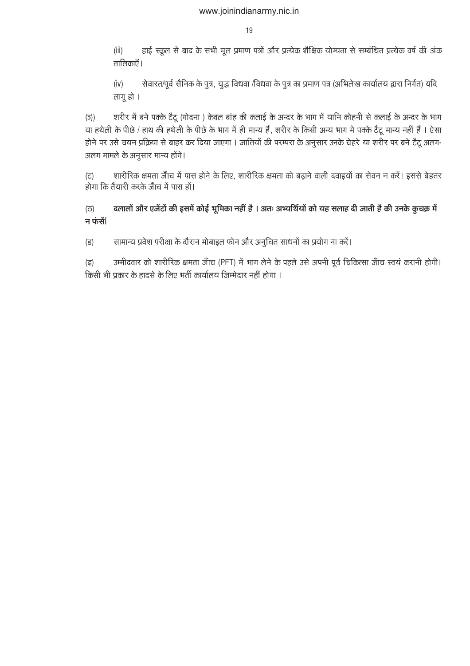हाई स्कूल से बाद के सभी मूल प्रमाण पत्रों और प्रत्येक शैक्षिक योग्यता से सम्बंधित प्रत्येक वर्ष की अंक  $(iii)$ तालिकाऍ |

सेवारत/पूर्व सैनिक के पुत्र, युद्ध विधवा /विधवा के पुत्र का प्रमाण पत्र (अभिलेख कार्यालय द्वारा निर्गत) यदि  $(iv)$ लागू हो ।

शरीर में बने पक्के टैटू (गोदना ) केवल बांह की कलाई के अन्दर के भाग में यानि कोहनी से कलाई के अन्दर के भाग  $(5)$ या हथेली के पीछे / हाथ की हथेली के पीछे के भाग में ही मान्य हैं, शरीर के किसी अन्य भाग मे पक्के टैटू मान्य नहीं हैं । ऐसा होने पर उसे चयन प्रक्रिया से बाहर कर दिया जाएगा । जातियों की परम्परा के अनुसार उनके चेहरे या शरीर पर बने टैटू अलग-अलग मामले के अनुसार मान्य होंगे।

शारीरिक क्षमता जॅाच में पास होने के लिए, शारीरिक क्षमता को बढाने वाली दवाइयों का सेवन न करें। इससे बेहतर (こ) होगा कि तैयारी करके जाँच में पास हों।

दलालों और एजेंटों की इसमें कोई भूमिका नहीं है । अतः अभ्यर्थियों को यह सलाह दी जाती है की उनके कुचक्र में  $(5)$ न फंसें

सामान्य प्रवेश परीक्षा के दौरान मोबाइल फोन और अनुचित साधनों का प्रयोग ना करें।  $(5)$ 

उम्मीदवार को शारीरिक क्षमता जाँच (PFT) में भाग लेने के पहले उसे अपनी पूर्व चिकित्सा जाँच स्वयं करानी होगी।  $(\overline{6})$ किसी भी प्रकार के हादसे के लिए भर्ती कार्यालय जिम्मेदार नहीं होगा ।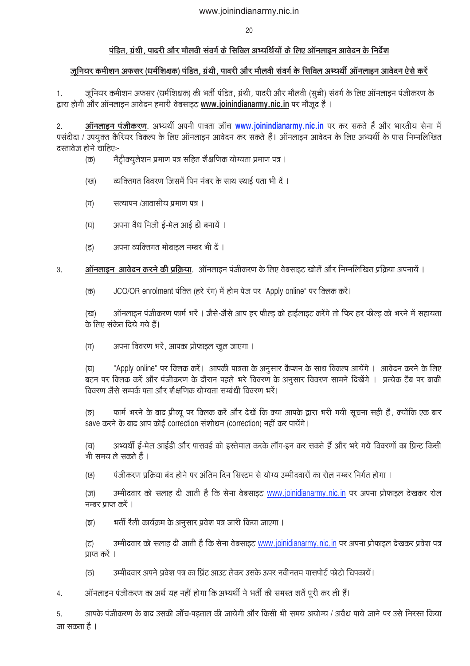### पंडित. ग्रंथी. पादरी और मौलवी संवर्ग के सिविल अभ्यर्थियों के लिए ऑनलाइन आवेदन के निर्देश

### जूनियर कमीशन अफसर (धर्मशिक्षक) पंडित, ग्रंथी, पादरी और मौलवी संवर्ग के सिविल अभ्यर्थी ऑनलाइन आवेदन ऐसे करें

जूनियर कमीशन अफसर (धर्मशिक्षक) की भर्ती पंडित, ग्रंथी, पादरी और मौलवी (सूची) संवर्ग के लिए ऑनलाइन पंजीकरण के  $1.$ द्वारा होगी और ऑनलाइन आवेदन हमारी वेबसाइट www.joinindianarmy.nic.in पर मौजूद है ।

ऑनलाइन पंजीकरण. अभ्यर्थी अपनी पात्रता जॉच www.joinindianarmy.nic.in पर कर सकते हैं और भारतीय सेना में  $2.$ पसंदीदा / उपयुक्त कैरियर विकल्प के लिए ऑनलाइन आवेदन कर सकते हैं। ऑनलाइन आवेदन के लिए अभ्यर्थी के पास निम्नलिखित दस्तावेज होने चाहिएः-

- मैटीक्युलेशन प्रमाण पत्र सहित शैक्षणिक योग्यता प्रमाण पत्र ।  $(\overline{\Phi})$
- व्यक्तिगत विवरण जिसमें पिन नंबर के साथ स्थाई पता भी दें । (ख)
- सत्यापन /आवासीय प्रमाण पत्र ।  $(\Pi)$
- अपना वैध निजी ई-मेल आई डी बनायें ।  $(\overline{u})$
- अपना व्यक्तिगत मोबाइल नम्बर भी दें।  $(3)$
- ऑनलाइन) आवेदन करने की प्रक्रिया. ऑनलाइन पंजीकरण के लिए वेबसाइट खोलें और निम्नलिखित प्रक्रिया अपनायें ।  $3.$ 
	- JCO/OR enrolment पंक्ति (हरे रंग) में होम पेज पर "Apply online" पर क्लिक करें।  $(\overline{\Phi})$

ऑनलाइन पंजीकरण फार्म भरें । जैसे-जैसे आप हर फील्ड को हाईलाइट करेंगे तो फिर हर फील्ड को भरने में सहायता  $(3)$ के लिए संकेत दिये गये हैं।

अपना विवरण भरें, आपका प्रोफाइल खुल जाएगा ।  $(\pi)$ 

"Apply online" पर क्लिक करें। आपकी पात्रता के अनुसार कैप्शन के साथ विकल्प आयेंगे । आवेदन करने के लिए  $(\overline{u})$ बटन पर क्लिक करें और पंजीकरण के दौरान पहले भरे विवरण के अनुसार विवरण सामने दिखेंगे । प्रत्येक टैब पर बाकी विवरण जैसे सम्पर्क पता और शैक्षणिक योग्यता सम्बंधी विवरण भरें।

फार्म भरने के बाद प्रीव्यू पर क्लिक करें और देखें कि क्या आपके द्वारा भरी गयी सूचना सही है , क्योंकि एक बार  $(\overline{s})$ save करने के बाद आप कोई correction संशोधन (correction) नहीं कर पायेंगे।

अभ्यर्थी ई-मेल आईडी और पासवर्ड को इस्तेमाल करके लॉग-इन कर सकते हैं और भरे गये विवरणों का प्रिन्ट किसी  $(\overline{u})$ भी समय ले सकते हैं ।

पंजीकरण प्रक्रिया बंद होने पर अंतिम दिन सिस्टम से योग्य उम्मीदवारों का रोल नम्बर निर्गत होगा । (छ)

उम्मीदवार को सलाह दी जाती है कि सेना वेबसाइट www.joinidianarmy.nic.in पर अपना प्रोफाइल देखकर रोल  $(\overline{J})$ नम्बर प्राप्त करें ।

भर्ती रैली कार्यक्रम के अनुसार प्रवेश पत्र जारी किया जाएगा ।  $($ झ)

उम्मीदवार को सलाह दी जाती है कि सेना वेबसाइट www.joinidianarmy.nic.in पर अपना प्रोफाइल देखकर प्रवेश पत्र  $(\overline{c})$ प्राप्त करें ।

- उम्मीदवार अपने प्रवेश पत्र का पिंट आउट लेकर उसके ऊपर नवीनतम पासपोर्ट फोटो चिपकायें।  $(2)$
- ऑनलाइन पंजीकरण का अर्थ यह नहीं होगा कि अभ्यर्थी ने भर्ती की समस्त शर्तें पूरी कर ली हैं।  $\overline{4}$ .

आपके पंजीकरण के बाद उसकी जाँच-पड़ताल की जायेगी और किसी भी समय अयोग्य / अवैध पाये जाने पर उसे निरस्त किया 5. जा सकता है ।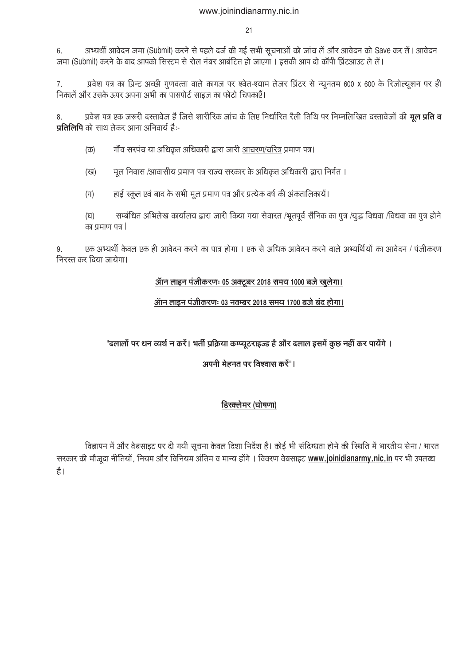$21$ 

अभ्यर्थी आवेदन जमा (Submit) करने से पहले दर्ज की गई सभी सूचनाओं को जांच लें और आवेदन को Save कर लें। आवेदन  $6^{\circ}$ जमा (Submit) करने के बाद आपको सिस्टम से रोल नंबर आबंटित हो जाएगा । इसकी आप दो कॉपी प्रिंटआउट ले लें।

प्रवेश पत्र का प्रिन्ट अच्छी गुणवत्ता वाले कागज पर श्वेत-श्याम लेजर प्रिंटर से न्यूनतम 600 X 600 के रिजोल्यूशन पर ही  $7<sup>1</sup>$ निकालें और उसके ऊपर अपना अभी का पासपोर्ट साइज का फोटो चिपकाएँ।

प्रवेश पत्र एक जरूरी दस्तावेज है जिसे शारीरिक जांच के लिए निर्धारित रैली तिथि पर निम्नलिखित दस्तावेजों की **मूल प्रति व** 8. **पतिलिपि** को साथ लेकर आना अनिवार्य है:-

गाँव सरपंच या अधिकृत अधिकारी द्वारा जारी आचरण/चरित्र प्रमाण पत्र।  $(\overline{\Phi})$ 

मूल निवास /आवासीय प्रमाण पत्र राज्य सरकार के अधिकृत अधिकारी द्वारा निर्गत । (ख)

हाई स्कूल एवं बाद के सभी मूल प्रमाण पत्र और प्रत्येक वर्ष की अंकतालिकायें।  $(\Pi)$ 

सम्बंधित अभिलेख कार्यालय द्वारा जारी किया गया सेवारत /भूतपूर्व सैनिक का पुत्र /युद्ध विधवा /विधवा का पुत्र होने  $(\overline{u})$ का प्रमाण पत्र |

एक अभ्यर्थी केवल एक ही आवेदन करने का पात्र होगा । एक से अधिक आवेदन करने वाले अभ्यर्थियों का आवेदन / पंजीकरण 9. निरस्त कर दिया जायेगा।

### ऑन लाइन पंजीकरणः 05 अक्टूबर 2018 समय 1000 बजे खुलेगा।

### ऑन लाइन पंजीकरणः 03 नवम्बर 2018 समय 1700 बजे बंद होगा।

"दलालों पर धन व्यर्थ न करें। भर्ती प्रक्रिया कम्प्यूटराइज्ड है और दलाल इसमें कूछ नहीं कर पायेंगे ।

अपनी मेहनत पर विश्वास करें"।

# डिस्क्लेमर (घोषणा)

विज्ञापन में और वेबसाइट पर दी गयी सूचना केवल दिशा निर्देश है। कोई भी संदिग्धता होने की स्थिति में भारतीय सेना / भारत सरकार की मौजूदा नीतियों, नियम और विनियम अंतिम व मान्य होंगे। विवरण वेबसाइट www.joinidianarmy.nic.in पर भी उपलब्ध  $\sharp$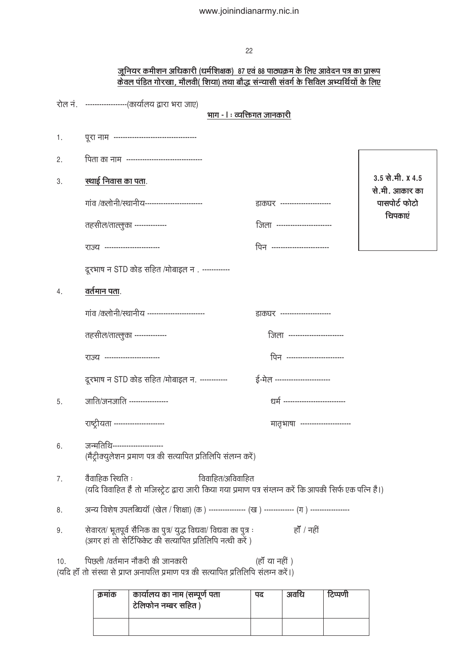### <u>जूनियर कमीशन अधिकारी (धर्मशिक्षक) 87 एवं 88 पाठ्यक्रम के लिए आवेदन पत्र का प्रारूप</u> <u>केवल पंडित गोरखा, मौलवी( शिया) तथा बौद्ध संन्यासी संवर्ग के सिविल अभ्यर्थियों के लिए</u>

|     | रोल नं. ) ------------------(कार्यालय द्वारा भरा जाए)                                                                                             |                                 |                                    |
|-----|---------------------------------------------------------------------------------------------------------------------------------------------------|---------------------------------|------------------------------------|
|     | भाग - । : व्यक्तिगत जानकारी                                                                                                                       |                                 |                                    |
| 1.  |                                                                                                                                                   |                                 |                                    |
| 2.  | पिता का नाम) ----------------------------------                                                                                                   |                                 |                                    |
| 3.  | <u>स्थाई निवास का पता.</u>                                                                                                                        |                                 | 3.5 से.मी. X 4.5<br>से.मी. आकार का |
|     | गांव /कलोनी/स्थानीय-------------------------                                                                                                      | डाकघर ----------------------    | पासपोर्ट फोटो                      |
|     | तहसील/ताल्लुका --------------                                                                                                                     | जिला -----------------------    | चिपकाएं                            |
|     | राज्य ------------------------                                                                                                                    | पिन -------------------------   |                                    |
|     | दूरभाष न STD कोड सहित /मोबाइल न). ------------                                                                                                    |                                 |                                    |
| 4.  | वर्तमान पता.                                                                                                                                      |                                 |                                    |
|     | गांव /कलोनी/स्थानीय ------------------------                                                                                                      | डाकघर ----------------------    |                                    |
|     | तहसील/ताल्लुका --------------                                                                                                                     | जिला -----------------------    |                                    |
|     | राज्य -----------------------                                                                                                                     | पिन -------------------------   |                                    |
|     | दूरभाष न STD कोड सहित /मोबाइल न.  ------------                                                                                                    | ई-मेल ------------------------  |                                    |
| 5.  | जाति/जनजाति ----------------                                                                                                                      | धर्म -------------------------- |                                    |
|     | राष्ट्रीयता ----------------------                                                                                                                | मातृभाषा ---------------------  |                                    |
| 6.  | जन्मतिथि----------------------<br>(मैट्रीक्युलेशन प्रमाण पत्र की सत्यापित प्रतिलिपि संलग्न करें)                                                  |                                 |                                    |
| 7.  | वैवाहिक स्थिति :<br>विवाहित/अविवाहित<br>(यदि विवाहित हैं तो मजिस्ट्रेट द्वारा जारी किया गया प्रमाण पत्र संग्लग्न करें कि आपकी सिर्फ एक पत्नि है।) |                                 |                                    |
| 8.  | अन्य विशेष उपलब्धियॉ (खेल / शिक्षा) (क ) ---------------- (ख ) ------------- (ग ) -----------------                                               |                                 |                                    |
| 9.  | सेवारत/ भूतपूर्व सैनिक का पुत्र/ युद्ध विधवा/ विधवा का पुत्र :<br>(अगर हां तो सेर्टिफिकेट की सत्यापित प्रतिलिपि नत्थी करें)                       | हाँ / नहीं                      |                                    |
| 10. | पिछली /वर्तमान नौकरी की जानकारी<br>(यदि हाँ तो संस्था से प्राप्त अनापत्ति प्रमाण पत्र की सत्यापित प्रतिलिपि संलग्न करें।)                         | (हाँ या नहीं )                  |                                    |
|     |                                                                                                                                                   |                                 |                                    |

| क्रमाक | कार्यालय का नाम (सम्पूर्ण पता<br>टेलिफोन नम्बर सहित) | पद | अवस्थि | टिप्पणी |
|--------|------------------------------------------------------|----|--------|---------|
|        |                                                      |    |        |         |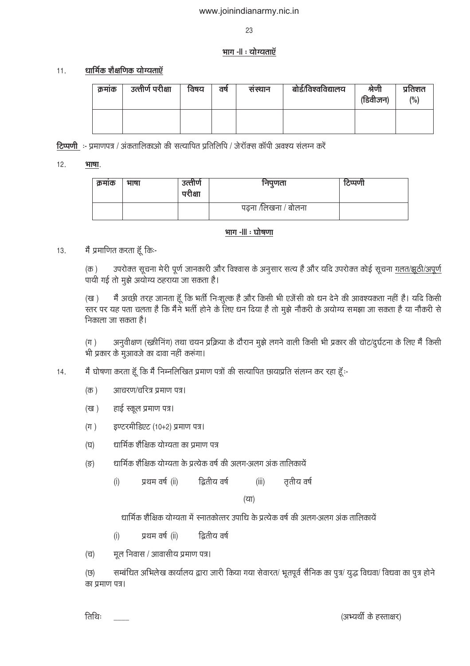23

### भाग -॥ : योग्यताऍ

#### धार्मिक शैक्षणिक योग्यताएँ  $11.$

| क्रमाक | उत्तीर्ण परीक्षा | विषय | वष | सस्थान | बोर्ड/विश्वविद्यालय | श्रणी<br>(डिवीजन) | प्रतिशत |
|--------|------------------|------|----|--------|---------------------|-------------------|---------|
|        |                  |      |    |        |                     |                   |         |

टिप्पणी :- प्रमाणपत्र / अंकतालिकाओ की सत्यापित प्रतिलिपि / जेरॉक्स कॉपी अवश्य संलग्न करें

#### $12.$ भाषा.

| क्रमाक | भाषा | उत्तीर्ण<br>परीक्षा | निपुणता              | टिप्पणी |
|--------|------|---------------------|----------------------|---------|
|        |      |                     | पढ़ना /लिखना / बोलना |         |

### भाग -III : घोषणा

#### मैं प्रमाणित करता हूँ किः- $13<sup>°</sup>$

उपरोक्त सूचना मेरी पूर्ण जानकारी और विश्वास के अनुसार सत्य है और यदि उपरोक्त कोई सूचना ग़लत/झूठी/अपूर्ण  $(\overline{\Phi})$ पायी गई तो मुझे अयोग्य ठहराया जा सकता है।

मैं अच्छी तरह जानता हूँ कि भर्ती निःशूल्क है और किसी भी एजेंसी को धन देने की आवश्यकता नहीं है। यदि किसी  $(\overline{\mathtt{cg}})$ ्<br>स्तर पर यह पता चलता है कि मैंने भर्ती होने के लिए धन दिया है तो मुझे नौकरी के अयोग्य समझा जा सकता है या नौकरी से निकाला जा सकता है।

अनुवीक्षण (स्क्रीनिंग) तथा चयन प्रक्रिया के दौरान मुझे लगने वाली किसी भी प्रकार की चोट/दूर्घटना के लिए मैं किसी  $(\pi)$ भी प्रकार के मुआवजे का दावा नहीं करूंगा।

- मैं घोषणा करता हूँ कि मैं निम्नलिखित प्रमाण पत्रों की सत्यापित छायाप्रति संलग्न कर रहा हूँ:-14.
	- आचरण/चरित्र प्रमाण पत्र।  $(\overline{\Phi})$
	- हाई स्कूल प्रमाण पत्र।  $(\overline{g})$
	- इण्टरमीडिएट (10+2) प्रमाण पत्र।  $(\pi)$
	- धार्मिक शैक्षिक योग्यता का प्रमाण पत्र  $(\overline{u})$
	- धार्मिक शैक्षिक योग्यता के प्रत्येक वर्ष की अलग-अलग अंक तालिकायें  $(3)$ 
		- द्वितीय वर्ष ततीय वर्ष  $(i)$ प्रथम वर्ष (ii)  $(iii)$

 $(\overline{u})$ 

धार्मिक शैक्षिक योग्यता में स्नातकोत्तर उपाधि के प्रत्येक वर्ष की अलग-अलग अंक तालिकायें

- प्रथम वर्ष (ii) द्वितीय वर्ष  $(i)$
- मूल निवास / आवासीय प्रमाण पत्र।  $(\overline{u})$

सम्बंधित अभिलेख कार्यालय द्वारा जारी किया गया सेवारत/ भूतपूर्व सैनिक का पूत्र/ युद्ध विधवा/ विधवा का पूत्र होने (छ) का प्रमाण पत्र।

तिथिः

(अभ्यर्थी के हस्ताक्षर)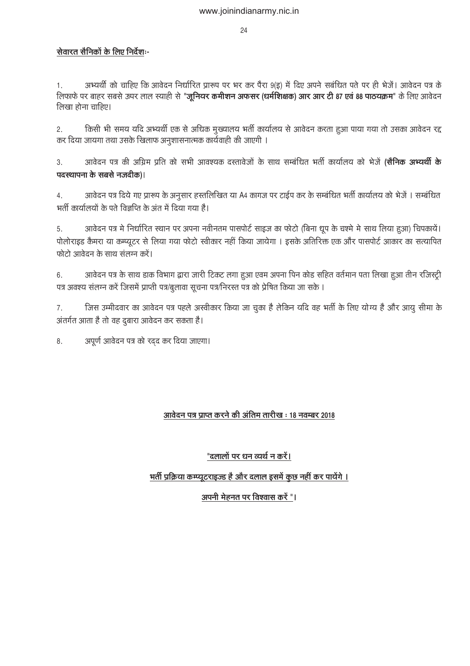### सेवारत सैनिकों के लिए निर्देशः-

अभ्यर्थी को चाहिए कि आवेदन निर्धारित प्रारूप पर भर कर पैरा 9(इ) में दिए अपने सबंधित पते पर ही भेजें। आवेदन पत्र के  $\mathbf{1}$ . लिफाफे पर बाहर सबसे ऊपर लाल स्याही से "जूनियर कमीशन अफसर (धर्मशिक्षक) आर आर टी 87 एवं 88 पाठयक्रम" के लिए आवेदन लिखा होना चाहिए।

किसी भी समय यदि अभ्यर्थी एक से अधिक मुख्यालय भर्ती कार्यालय से आवेदन करता हुआ पाया गया तो उसका आवेदन रद्द  $2.$ कर दिया जायगा तथा उसके खिलाफ अनुशासनात्मक कार्यवाही की जाएगी ।

आवेदन पत्र की अग्रिम प्रति को सभी आवश्यक दस्तावेजों के साथ सम्बंधित भर्ती कार्यालय को भेजें (**सैनिक अभ्यर्थी के**  $\mathcal{S}$ पदस्थापना के सबसे नजदीक)।

आवेदन पत्र दिये गए प्रारूप के अनुसार हस्तलिखित या A4 कागज पर टाईप कर के सम्बंधित भर्ती कार्यालय को भेजें । सम्बंधित  $4.$ भर्ती कार्यालयों के पते विज्ञप्ति के अंत में दिया गया है।

आवेदन पत्र मे निर्धारित स्थान पर अपना नवीनतम पासपोर्ट साइज का फोटो (बिना धूप के चश्मे मे साथ लिया हुआ) चिपकाये। 5. पोलोराइड कैमरा या कम्प्यूटर से लिया गया फोटो स्वीकार नहीं किया जायेगा । इसके अतिरिक्त एक और पासपोर्ट आकार का सत्यापित फोटो आवेदन के साथ संलग्न करें।

आवेदन पत्र के साथ डाक विभाग द्वारा जारी टिकट लगा हुआ एवम अपना पिन कोड सहित वर्तमान पता लिखा हुआ तीन रजिस्ट्री  $6.$ पत्र अवश्य संलग्न करें जिसमें प्राप्ती पत्र/बूलावा सूचना पत्र/निरस्त पत्र को प्रेषित किया जा सके ।

जिस उम्मीदवार का आवेदन पत्र पहले अस्वीकार किया जा चुका है लेकिन यदि वह भर्ती के लिए योग्य है और आयु सीमा के 7. अंतर्गत आता है तो वह दुबारा आवेदन कर सकता है।

अपूर्ण आवेदन पत्र को रदद कर दिया जाएगा। 8.

### आवेदन पत्र प्राप्त करने की अंतिम तारीख: 18 नवम्बर 2018

# "दलालों पर धन व्यर्थ न करें।

# भर्ती प्रक्रिया कम्प्यूटराइज्ड है और दलाल इसमें कुछ नहीं कर पायेंगे ।

### अपनी मेहनत पर विश्वास करें "।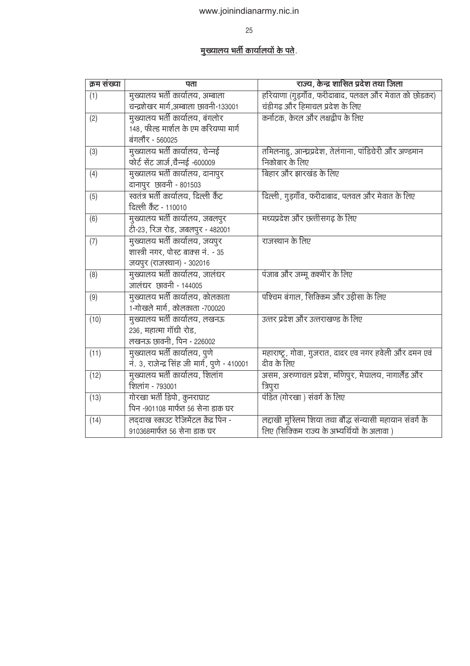25

# <u>मुख्यालय भर्ती कार्यालयों के पते</u>.

| क्रम संख्या | पता                                           | राज्य, केन्द्र शासित प्रदेश तथा जिला                     |
|-------------|-----------------------------------------------|----------------------------------------------------------|
| (1)         | मुख्यालय भर्ती कार्यालय, अम्बाला              | हरियाणा (गुड़गाँव, फरीदाबाद, पलवल और मेवात को छोडकर)     |
|             | चन्द्रशेखर मार्ग,अम्बाला छावनी-133001         | चंडीगढ और हिमाचल प्रदेश के लिए                           |
| (2)         | मुख्यालय भर्ती कार्यालय, बंगलोर               | कर्नाटक, केरल और लक्षद्वीप के लिए                        |
|             | 148, फील्ड मार्शल के एम करियप्पा मार्ग        |                                                          |
|             | बंगलौर - 560025                               |                                                          |
| (3)         | मुख्यालय भर्ती कार्यालय, चेन्नई               | तमिलनाडु, आन्ध्रप्रदेश, तेलंगाना, पांडिचेरी और अण्डमान   |
|             | फोर्ट सेंट जार्ज,चैन्नई -600009               | निकोबार के लिए                                           |
| (4)         | मुख्यालय भर्ती कार्यालय, दानापुर              | बिहार और झारखंड के लिए                                   |
|             | दानापुर छावनी - 801503                        |                                                          |
| (5)         | स्वतंत्र भर्ती कार्यालय, दिल्ली कैंट          | दिल्ली, गुड़गाँव, फरीदाबाद, पलवल और मेवात के लिए         |
|             | दिल्ली कैंट - 110010                          |                                                          |
| (6)         | मुख्यालय भर्ती कार्यालय, जबलपुर               | मध्यप्रदेश और छत्तीसगढ़ के लिए                           |
|             | टी-23, रिज रोड, जबलपुर - 482001               |                                                          |
| (7)         | मुख्यालय भर्ती कार्यालय, जयपुर                | राजस्थान के लिए                                          |
|             | शास्त्री नगर, पोस्ट बाक्स नं. - 35            |                                                          |
|             | जयपुर (राजस्थान) - 302016                     |                                                          |
| (8)         | मुख्यालय भर्ती कार्यालय, जालंधर               | पंजाब और जम्मू कश्मीर के लिए                             |
|             | जालंधर छावनी - 144005                         |                                                          |
| (9)         | मुख्यालय भर्ती कार्यालय, कोलकाता              | पश्चिम बंगाल, सिक्किम और उड़ीसा के लिए                   |
|             | 1-गोखले मार्ग, कोलकाता -700020                |                                                          |
| (10)        | मुख्यालय भर्ती कार्यालय, लखनऊ                 | उत्तर प्रदेश और उत्तराखण्ड के लिए                        |
|             | 236, महात्मा गॉधी रोड,                        |                                                          |
|             | लखनऊ छावनी, पिन - 226002                      |                                                          |
| (11)        | मुख्यालय भर्ती कार्यालय, पुणे                 | महाराष्ट्र, गोवा, गुजरात, दादर एव नगर हवेली और दमन एवं   |
|             | नं. 3, राजेन्द्र सिंह जी मार्ग, पुणे - 410001 | दीव के लिए                                               |
| (12)        | मुख्यालय भर्ती कार्यालय, शिलांग               | असम, अरुणाचल प्रदेश, मणिपुर, मेघालय, नागालैंड और         |
|             | शिलांग - 793001                               | त्रिपुरा                                                 |
| (13)        | गोरखा भर्ती डिपो, कुनराघाट                    | पंडित (गोरखा ) संवर्ग के लिए                             |
|             | पिन -901108 मार्फत 56 सेना डाक घर             |                                                          |
| (14)        | लद्दाख स्काउट रेजिमेंटल केंद्र पिन -          | लद्दाखी मुस्लिम शिया तथा बौद्ध संन्यासी महायान संवर्ग के |
|             | 910368मार्फत 56 सेना डाक घर                   | लिए (सिक्किम राज्य के अभ्यर्थियों के अलावा)              |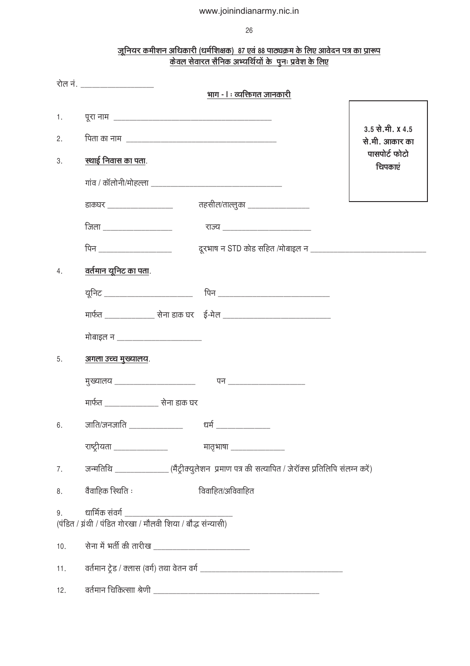26

### <u>जूनियर कमीशन अधिकारी (धर्मशिक्षक) 87 एवं 88 पाठ्यक्रम के लिए आवेदन पत्र का प्रारूप</u> <u>केवल सेवारत सैनिक अभ्यर्थियों के पुनः प्रवेश के लिए</u>

|     | रोल नं. _____________________                                                  |                                                                                                     |                                    |
|-----|--------------------------------------------------------------------------------|-----------------------------------------------------------------------------------------------------|------------------------------------|
|     |                                                                                | भाग - । : व्यक्तिगत जानकारी                                                                         |                                    |
| 1.  |                                                                                |                                                                                                     |                                    |
| 2.  |                                                                                |                                                                                                     | 3.5 से.मी. X 4.5<br>से.मी. आकार का |
| 3.  | स्थाई निवास का पता.                                                            |                                                                                                     | पासपोर्ट फोटो<br>चिपकाएं           |
|     |                                                                                |                                                                                                     |                                    |
|     | डाकघर __________________                                                       | तहसील/ताल्लुका __________________                                                                   |                                    |
|     | <u>जिला ________________</u>                                                   | <u>राज्य ________________________</u>                                                               |                                    |
|     |                                                                                |                                                                                                     |                                    |
| 4.  | <u>वर्तमान यूनिट का पता.</u>                                                   |                                                                                                     |                                    |
|     | यूनिट ___________________________                                              | पिन ________________________________                                                                |                                    |
|     |                                                                                |                                                                                                     |                                    |
|     | मोबाइल न _________________________                                             |                                                                                                     |                                    |
| 5.  | <u>अगला उच्च मुख्यालय.</u>                                                     |                                                                                                     |                                    |
|     | मुख्यालय _____________________                                                 |                                                                                                     |                                    |
|     | मार्फत ___ <b>_____________________ सेना डाक घ</b> र                           |                                                                                                     |                                    |
| 6.  | जाति/जनजाति _______________                                                    | धर्म ____________                                                                                   |                                    |
|     | राष्ट्रीयता __________________               मातृभाषा _________________        |                                                                                                     |                                    |
|     |                                                                                | 7. जन्मतिथि ______________(मैट्रीक्युलेशन) प्रमाण पत्र की सत्यापित / जेरॉक्स प्रतिलिपि संलग्न करें) |                                    |
| 8.  | वैवाहिक स्थिति :                                                               | विवाहित/अविवाहित                                                                                    |                                    |
| 9.  | धार्मिक संवर्ग<br>(पंडित / ग्रंथी / पंडित गोरखा / मौलवी शिया / बौद्ध संन्यासी) |                                                                                                     |                                    |
| 10. |                                                                                |                                                                                                     |                                    |
| 11. |                                                                                |                                                                                                     |                                    |
| 12. |                                                                                |                                                                                                     |                                    |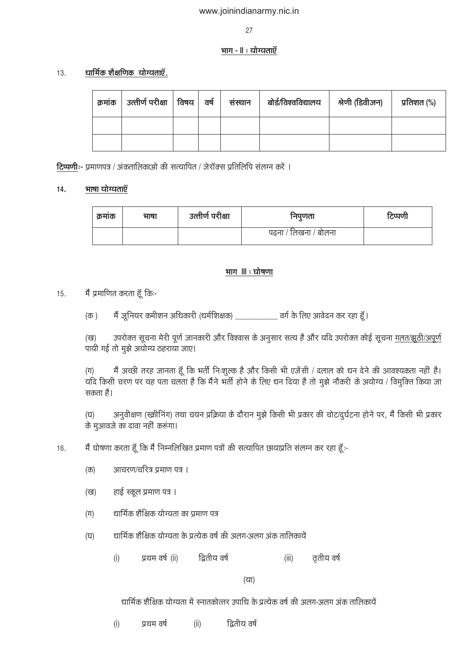27

### भाग - ॥ : योग्यताएँ

#### धार्मिक शैक्षणिक योग्यताएँ.  $13.$

| क्रमांक | उत्तीर्ण परीक्षा   विषय   वर्ष |  | संस्थान | बोर्ड/विश्वविद्यालय | श्रेणी (डिवीजन) | प्रतिशत (%) |
|---------|--------------------------------|--|---------|---------------------|-----------------|-------------|
|         |                                |  |         |                     |                 |             |
|         |                                |  |         |                     |                 |             |

टिप्पणीः- प्रमाणपत्र / अंकतालिकाओ की सत्यापित / जेरॉक्स प्रतिलिपि संलग्न करें ।

#### भाषा योग्यताएँ  $14.$

| क्रमाक | भाषा | उत्तीर्ण परीक्षा | निपुणता              | टिप्पणी |
|--------|------|------------------|----------------------|---------|
|        |      |                  | पढना / लिखना / बोलना |         |

### <u>भाग ॥ जोषणा</u>

- मैं प्रमाणित करता हूँ कि:- $15.$ 
	- मैं जूनियर कमीशन अधिकारी (धर्मशिक्षक) \_\_\_\_\_\_\_\_\_\_\_\_\_\_ वर्ग के लिए आवेदन कर रहा हूँ |  $(\overline{\Phi})$

उपरोक्त सूचना मेरी पूर्ण जानकारी और विश्वास के अनुसार सत्य है और यदि उपरोक्त कोई सूचना <u>गलत/झूठी/अपूर्ण</u> (ख) पायी गई तो मुझे अयोग्य ठहराया जाए।

मैं अच्छी तरह जानता हूँ कि भर्ती निःशुल्क है और किसी भी एजेंसी / दलाल को धन देने की आवश्यकता नहीं है।  $(\Pi)$ यदि किसी चरण पर यह पता चलता है कि मैंने भर्ती होने के लिए धन दिया है तो मुझे नौकरी के अयोग्य / विमुक्ति किया जा सकता है।

अनुवीक्षण (स्क्रीनिंग) तथा चयन प्रक्रिया के दौरान मुझे किसी भी प्रकार की चोट/दुर्घटना होने पर, मैं किसी भी प्रकार (ਬ) के मुआवजे का दावा नहीं करूंगा।

मैं घोषणा करता हूँ कि मैं निम्नलिखित प्रमाण पत्रों की सत्यापित छायाप्रति संलग्न कर रहा हूँ:-16.

- आचरण/चरित्र प्रमाण पत्र ।  $(\overline{\Phi})$
- हाई स्कूल प्रमाण पत्र । (ख)
- धार्मिक शैक्षिक योग्यता का प्रमाण पत्र  $(\Pi)$
- धार्मिक शैक्षिक योग्यता के प्रत्येक वर्ष की अलग-अलग अंक तालिकायें  $(\overline{u})$ 
	- $(i)$ प्रथम वर्ष (ii) द्वितीय वर्ष  $(iii)$ तृतीय वर्ष

 $(\overline{2}$ 

धार्मिक शैक्षिक योग्यता में स्नातकोत्तर उपाधि के प्रत्येक वर्ष की अलग-अलग अंक तालिकायें

द्वितीय वर्ष  $(i)$  $(ii)$ प्रथम वर्ष